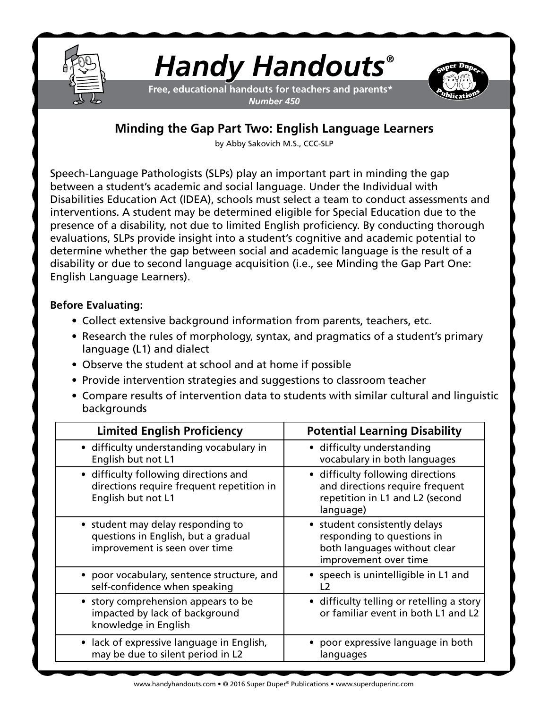

# *Handy Handouts®*

**Free, educational handouts for teachers and parents\*** *Number 450*



# **Minding the Gap Part Two: English Language Learners**

by Abby Sakovich M.S., CCC-SLP

Speech-Language Pathologists (SLPs) play an important part in minding the gap between a student's academic and social language. Under the Individual with Disabilities Education Act (IDEA), schools must select a team to conduct assessments and interventions. A student may be determined eligible for Special Education due to the presence of a disability, not due to limited English proficiency. By conducting thorough evaluations, SLPs provide insight into a student's cognitive and academic potential to determine whether the gap between social and academic language is the result of a disability or due to second language acquisition (i.e., see Minding the Gap Part One: English Language Learners).

## **Before Evaluating:**

- Collect extensive background information from parents, teachers, etc.
- Research the rules of morphology, syntax, and pragmatics of a student's primary language (L1) and dialect
- Observe the student at school and at home if possible
- Provide intervention strategies and suggestions to classroom teacher
- Compare results of intervention data to students with similar cultural and linguistic backgrounds

| <b>Limited English Proficiency</b>                                                                        | <b>Potential Learning Disability</b>                                                                                 |
|-----------------------------------------------------------------------------------------------------------|----------------------------------------------------------------------------------------------------------------------|
| • difficulty understanding vocabulary in<br>English but not L1                                            | • difficulty understanding<br>vocabulary in both languages                                                           |
| • difficulty following directions and<br>directions require frequent repetition in<br>English but not L1  | • difficulty following directions<br>and directions require frequent<br>repetition in L1 and L2 (second<br>language) |
| • student may delay responding to<br>questions in English, but a gradual<br>improvement is seen over time | • student consistently delays<br>responding to questions in<br>both languages without clear<br>improvement over time |
| • poor vocabulary, sentence structure, and<br>self-confidence when speaking                               | • speech is unintelligible in L1 and<br>l 2                                                                          |
| • story comprehension appears to be<br>impacted by lack of background<br>knowledge in English             | • difficulty telling or retelling a story<br>or familiar event in both L1 and L2                                     |
| • lack of expressive language in English,<br>may be due to silent period in L2                            | • poor expressive language in both<br>languages                                                                      |